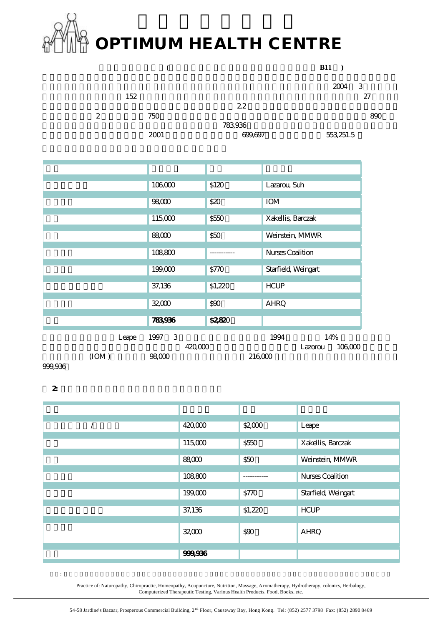## **OPTIMUM HEALTH CENTRE**

地球上最危險的醫藥**(**本文曾刊載於二零零 十二 十一日大公報 **B11 )**  $2004 \quad 3$  $152$  27  $22$  $2 \t\t 750$  $783,936$  $2001$   $699,697$   $553,251.5$ 法學 人數 化二甲基苯甲基苯基苯甲基苯基苯基苯基苯基苯基苯基苯基苯基 106,000 \$120 Lazarou, Suh **98,000 \$20 IOM** 115,000 \$550 Xakellis, Barczak 88,000 \$50 Weinstein, MMWR 108,800 -------------- Nurses Coalition 199,000 \$770 Starfield, Weingart **37,136** \$1,220 HCUP  $\sim$  32,000  $\sim$  590 AHRQ 總數 783,936 \$2,820  $L$ eape 1997 3  $1994$   $14\%$  $420,000$   $420,000$   $122,000$   $124,000$   $106,000$  $(10M)$  98,000  $216,000$ 

999,936

 $2$ 

| 420000       | $\$200$    | Leape                   |
|--------------|------------|-------------------------|
|              |            |                         |
| 115,000      | <b>S50</b> | Xakellis, Barczak       |
|              |            |                         |
| <b>88000</b> | S50        | Weinstein, MMWR         |
|              |            |                         |
| 108800       |            | <b>Nurses Coalition</b> |
|              |            |                         |
| 199,000      | STD        | Starfield, Weingart     |
|              |            |                         |
| 37,136       | \$1,220    | <b>HCUP</b>             |
|              |            |                         |
| 3200         | \$90       | <b>AHRQ</b>             |
|              |            |                         |
| 99996        |            |                         |

採用: 自然療法、脊骨神經科、同類療法、針炙、營養療法、按摩、芳香療法、水療、浣腸療法、草藥療法、電腦測試及各類健康用品食物、書籍等 Practice of: Naturopathy, Chiropractic, Homeopathy, Acupuncture, Nutrition, Massage, Aromatherapy, Hydrotherapy, colonics, Herbalogy, Computerized Therapeutic Testing, Various Health Products, Food, Books, etc.